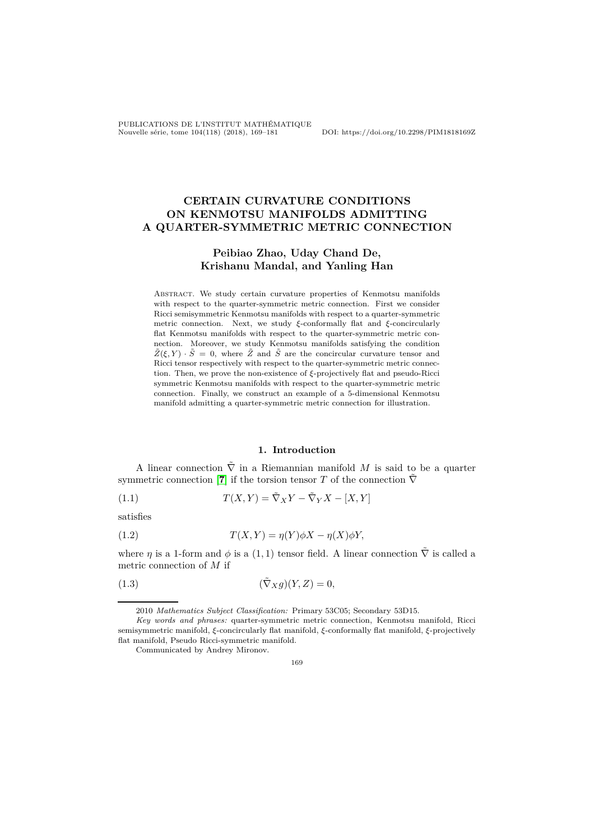PUBLICATIONS DE L'INSTITUT MATHÉMATIQUE Nouvelle série, tome 104(118) (2018), 169–181 DOI: https://doi.org/10.2298/PIM1818169Z

# **CERTAIN CURVATURE CONDITIONS ON KENMOTSU MANIFOLDS ADMITTING A QUARTER-SYMMETRIC METRIC CONNECTION**

# **Peibiao Zhao, Uday Chand De, Krishanu Mandal, and Yanling Han**

Abstract. We study certain curvature properties of Kenmotsu manifolds with respect to the quarter-symmetric metric connection. First we consider Ricci semisymmetric Kenmotsu manifolds with respect to a quarter-symmetric metric connection. Next, we study *ξ*-conformally flat and *ξ*-concircularly flat Kenmotsu manifolds with respect to the quarter-symmetric metric connection. Moreover, we study Kenmotsu manifolds satisfying the condition  $\tilde{Z}(\xi, Y) \cdot \tilde{S} = 0$ , where  $\tilde{Z}$  and  $\tilde{S}$  are the concircular curvature tensor and Ricci tensor respectively with respect to the quarter-symmetric metric connection. Then, we prove the non-existence of *ξ*-projectively flat and pseudo-Ricci symmetric Kenmotsu manifolds with respect to the quarter-symmetric metric connection. Finally, we construct an example of a 5-dimensional Kenmotsu manifold admitting a quarter-symmetric metric connection for illustration.

#### <span id="page-0-2"></span><span id="page-0-0"></span>**1. Introduction**

A linear connection  $\tilde{\nabla}$  in a Riemannian manifold *M* is said to be a quarter symmetric connection [**[7](#page-11-0)**] if the torsion tensor *T* of the connection  $\tilde{\nabla}$ 

(1.1)  $T(X,Y) = \tilde{\nabla}_X Y - \tilde{\nabla}_Y X - [X,Y]$ 

satisfies

(1.2) 
$$
T(X,Y) = \eta(Y)\phi X - \eta(X)\phi Y,
$$

where *η* is a 1-form and  $\phi$  is a (1, 1) tensor field. A linear connection  $\tilde{\nabla}$  is called a metric connection of *M* if

$$
(1.3) \qquad (\tilde{\nabla}_X g)(Y, Z) = 0,
$$

<sup>2010</sup> *Mathematics Subject Classification:* Primary 53C05; Secondary 53D15.

*Key words and phrases:* quarter-symmetric metric connection, Kenmotsu manifold, Ricci semisymmetric manifold, *ξ*-concircularly flat manifold, *ξ*-conformally flat manifold, *ξ*-projectively flat manifold, Pseudo Ricci-symmetric manifold.

Communicated by Andrey Mironov.

<span id="page-0-1"></span><sup>169</sup>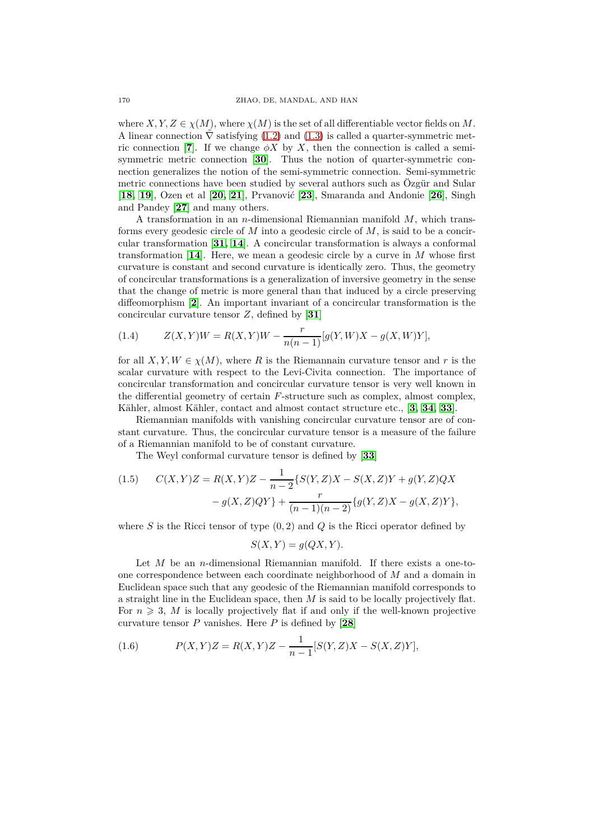where  $X, Y, Z \in \chi(M)$ , where  $\chi(M)$  is the set of all differentiable vector fields on M. A linear connection  $\overline{\nabla}$  satisfying [\(1.2\)](#page-0-0) and [\(1.3\)](#page-0-1) is called a quarter-symmetric metric connection [**[7](#page-11-0)**]. If we change  $\phi X$  by X, then the connection is called a semisymmetric metric connection [**[30](#page-12-0)**]. Thus the notion of quarter-symmetric connection generalizes the notion of the semi-symmetric connection. Semi-symmetric metric connections have been studied by several authors such as Özgür and Sular [**[18,](#page-12-1) [19](#page-12-2)**], Ozen et al [**[20,](#page-12-3) [21](#page-12-4)**], Prvanović [**[23](#page-12-5)**], Smaranda and Andonie [**[26](#page-12-6)**], Singh and Pandey [**[27](#page-12-7)**] and many others.

A transformation in an *n*-dimensional Riemannian manifold *M*, which transforms every geodesic circle of *M* into a geodesic circle of *M*, is said to be a concircular transformation [**[31,](#page-12-8) [14](#page-11-1)**]. A concircular transformation is always a conformal transformation [**[14](#page-11-1)**]. Here, we mean a geodesic circle by a curve in *M* whose first curvature is constant and second curvature is identically zero. Thus, the geometry of concircular transformations is a generalization of inversive geometry in the sense that the change of metric is more general than that induced by a circle preserving diffeomorphism [**[2](#page-11-2)**]. An important invariant of a concircular transformation is the concircular curvature tensor *Z*, defined by [**[31](#page-12-8)**]

<span id="page-1-0"></span>(1.4) 
$$
Z(X,Y)W = R(X,Y)W - \frac{r}{n(n-1)}[g(Y,W)X - g(X,W)Y],
$$

for all  $X, Y, W \in \chi(M)$ , where R is the Riemannain curvature tensor and r is the scalar curvature with respect to the Levi-Civita connection. The importance of concircular transformation and concircular curvature tensor is very well known in the differential geometry of certain *F*-structure such as complex, almost complex, Kähler, almost Kähler, contact and almost contact structure etc., [**[3,](#page-11-3) [34,](#page-12-9) [33](#page-12-10)**].

Riemannian manifolds with vanishing concircular curvature tensor are of constant curvature. Thus, the concircular curvature tensor is a measure of the failure of a Riemannian manifold to be of constant curvature.

The Weyl conformal curvature tensor is defined by [**[33](#page-12-10)**]

<span id="page-1-1"></span>(1.5) 
$$
C(X,Y)Z = R(X,Y)Z - \frac{1}{n-2}\{S(Y,Z)X - S(X,Z)Y + g(Y,Z)QX - g(X,Z)QY\} + \frac{r}{(n-1)(n-2)}\{g(Y,Z)X - g(X,Z)Y\},
$$

where *S* is the Ricci tensor of type (0*,* 2) and *Q* is the Ricci operator defined by

$$
S(X, Y) = g(QX, Y).
$$

Let *M* be an *n*-dimensional Riemannian manifold. If there exists a one-toone correspondence between each coordinate neighborhood of *M* and a domain in Euclidean space such that any geodesic of the Riemannian manifold corresponds to a straight line in the Euclidean space, then *M* is said to be locally projectively flat. For  $n \geq 3$ , M is locally projectively flat if and only if the well-known projective curvature tensor *P* vanishes. Here *P* is defined by [**[28](#page-12-11)**]

<span id="page-1-2"></span>(1.6) 
$$
P(X,Y)Z = R(X,Y)Z - \frac{1}{n-1}[S(Y,Z)X - S(X,Z)Y],
$$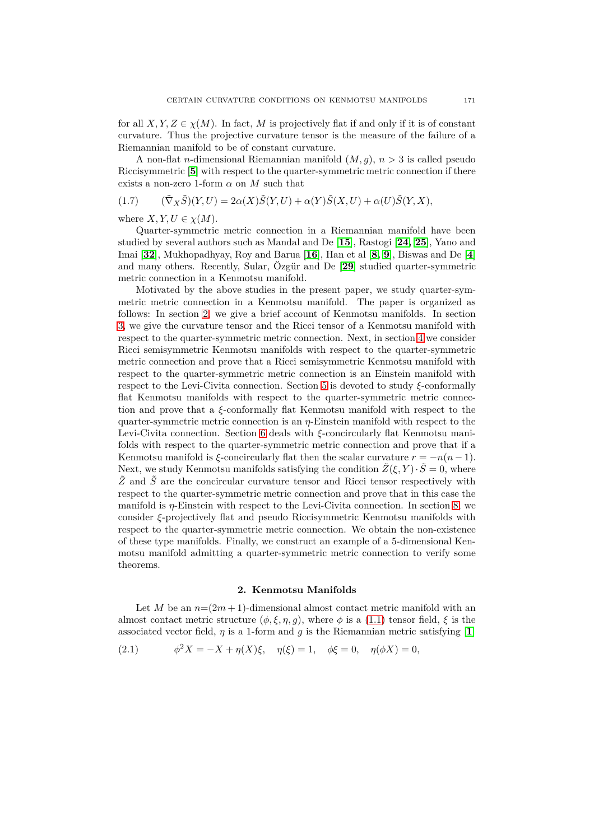for all  $X, Y, Z \in \chi(M)$ . In fact, M is projectively flat if and only if it is of constant curvature. Thus the projective curvature tensor is the measure of the failure of a Riemannian manifold to be of constant curvature.

A non-flat *n*-dimensional Riemannian manifold (*M, g*), *n >* 3 is called pseudo Riccisymmetric [**[5](#page-11-4)**] with respect to the quarter-symmetric metric connection if there exists a non-zero 1-form  $\alpha$  on M such that

<span id="page-2-1"></span>
$$
(1.7) \qquad (\tilde{\nabla}_X \tilde{S})(Y,U) = 2\alpha(X)\tilde{S}(Y,U) + \alpha(Y)\tilde{S}(X,U) + \alpha(U)\tilde{S}(Y,X),
$$

where  $X, Y, U \in \chi(M)$ .

Quarter-symmetric metric connection in a Riemannian manifold have been studied by several authors such as Mandal and De [**[15](#page-11-5)**], Rastogi [**[24,](#page-12-12) [25](#page-12-13)**], Yano and Imai [**[32](#page-12-14)**], Mukhopadhyay, Roy and Barua [**[16](#page-11-6)**], Han et al [**[8,](#page-11-7) [9](#page-11-8)**], Biswas and De [**[4](#page-11-9)**] and many others. Recently, Sular, Özgür and De [**[29](#page-12-15)**] studied quarter-symmetric metric connection in a Kenmotsu manifold.

Motivated by the above studies in the present paper, we study quarter-symmetric metric connection in a Kenmotsu manifold. The paper is organized as follows: In section [2,](#page-2-0) we give a brief account of Kenmotsu manifolds. In section [3,](#page-3-0) we give the curvature tensor and the Ricci tensor of a Kenmotsu manifold with respect to the quarter-symmetric metric connection. Next, in section [4](#page-4-0) we consider Ricci semisymmetric Kenmotsu manifolds with respect to the quarter-symmetric metric connection and prove that a Ricci semisymmetric Kenmotsu manifold with respect to the quarter-symmetric metric connection is an Einstein manifold with respect to the Levi-Civita connection. Section [5](#page-5-0) is devoted to study *ξ*-conformally flat Kenmotsu manifolds with respect to the quarter-symmetric metric connection and prove that a *ξ*-conformally flat Kenmotsu manifold with respect to the quarter-symmetric metric connection is an *η*-Einstein manifold with respect to the Levi-Civita connection. Section [6](#page-6-0) deals with *ξ*-concircularly flat Kenmotsu manifolds with respect to the quarter-symmetric metric connection and prove that if a Kenmotsu manifold is  $\xi$ -concircularly flat then the scalar curvature  $r = -n(n-1)$ . Next, we study Kenmotsu manifolds satisfying the condition  $\tilde{Z}(\xi, Y) \cdot \tilde{S} = 0$ , where  $\tilde{Z}$  and  $\tilde{S}$  are the concircular curvature tensor and Ricci tensor respectively with respect to the quarter-symmetric metric connection and prove that in this case the manifold is *η*-Einstein with respect to the Levi-Civita connection. In section [8,](#page-8-0) we consider *ξ*-projectively flat and pseudo Riccisymmetric Kenmotsu manifolds with respect to the quarter-symmetric metric connection. We obtain the non-existence of these type manifolds. Finally, we construct an example of a 5-dimensional Kenmotsu manifold admitting a quarter-symmetric metric connection to verify some theorems.

#### **2. Kenmotsu Manifolds**

<span id="page-2-0"></span>Let *M* be an  $n=(2m+1)$ -dimensional almost contact metric manifold with an almost contact metric structure  $(\phi, \xi, \eta, g)$ , where  $\phi$  is a [\(1.1\)](#page-0-2) tensor field,  $\xi$  is the associated vector field,  $\eta$  is a [1](#page-11-10)-form and g is the Riemannian metric satisfying [1]

(2.1)  $\phi^2 X = -X + \eta(X)\xi, \quad \eta(\xi) = 1, \quad \phi\xi = 0, \quad \eta(\phi X) = 0,$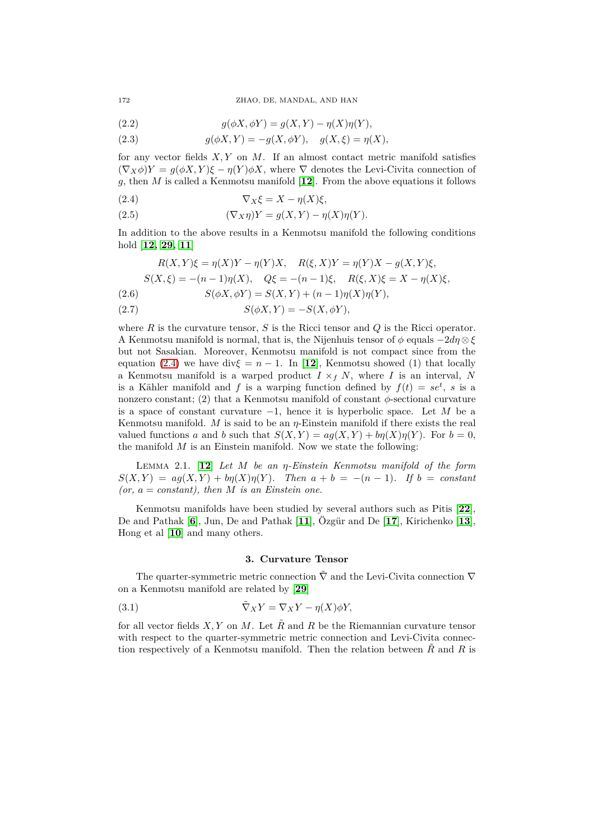<span id="page-3-6"></span>(2.2) 
$$
g(\phi X, \phi Y) = g(X, Y) - \eta(X)\eta(Y),
$$

<span id="page-3-2"></span>(2.3) 
$$
g(\phi X, Y) = -g(X, \phi Y), \quad g(X, \xi) = \eta(X),
$$

for any vector fields *X, Y* on *M*. If an almost contact metric manifold satisfies  $(\nabla_X \phi)Y = g(\phi X, Y)\xi - \eta(Y)\phi X$ , where  $\nabla$  denotes the Levi-Civita connection of *g*, then *M* is called a Kenmotsu manifold [**[12](#page-11-11)**]. From the above equations it follows

<span id="page-3-1"></span>
$$
(2.4) \t\nabla_X \xi = X - \eta(X)\xi,
$$

(2.5) 
$$
(\nabla_X \eta)Y = g(X,Y) - \eta(X)\eta(Y).
$$

In addition to the above results in a Kenmotsu manifold the following conditions hold [**[12,](#page-11-11) [29,](#page-12-15) [11](#page-11-12)**]

$$
R(X,Y)\xi = \eta(X)Y - \eta(Y)X, \quad R(\xi,X)Y = \eta(Y)X - g(X,Y)\xi,
$$
  
\n
$$
S(X,\xi) = -(n-1)\eta(X), \quad Q\xi = -(n-1)\xi, \quad R(\xi,X)\xi = X - \eta(X)\xi,
$$
  
\n
$$
S(\phi X, \phi Y) = S(X,Y) + (n-1)\eta(X)\eta(Y),
$$

<span id="page-3-5"></span><span id="page-3-3"></span>(2.7)  $S(\phi X, Y) = -S(X, \phi Y)$ ,

where *R* is the curvature tensor, *S* is the Ricci tensor and *Q* is the Ricci operator. A Kenmotsu manifold is normal, that is, the Nijenhuis tensor of  $\phi$  equals  $-2d\eta \otimes \xi$ but not Sasakian. Moreover, Kenmotsu manifold is not compact since from the equation [\(2.4\)](#page-3-1) we have div $\xi = n - 1$ . In [[12](#page-11-11)], Kenmotsu showed (1) that locally a Kenmotsu manifold is a warped product  $I \times_f N$ , where *I* is an interval, *N* is a Kähler manifold and f is a warping function defined by  $f(t) = se^t$ , s is a nonzero constant; (2) that a Kenmotsu manifold of constant  $\phi$ -sectional curvature is a space of constant curvature −1, hence it is hyperbolic space. Let *M* be a Kenmotsu manifold. *M* is said to be an *η*-Einstein manifold if there exists the real valued functions *a* and *b* such that  $S(X, Y) = ag(X, Y) + b\eta(X)\eta(Y)$ . For  $b = 0$ , the manifold *M* is an Einstein manifold. Now we state the following:

<span id="page-3-4"></span>Lemma 2.1. [**[12](#page-11-11)**] *Let M be an η-Einstein Kenmotsu manifold of the form*  $S(X, Y) = a g(X, Y) + b g(X) g(Y)$ *. Then*  $a + b = -(n-1)$ *. If*  $b = constant$  $(or, a = constant)$ , then *M* is an Einstein one.

Kenmotsu manifolds have been studied by several authors such as Pitis [**[22](#page-12-16)**], De and Pathak [**[6](#page-11-13)**], Jun, De and Pathak [**[11](#page-11-12)**], Özgür and De [**[17](#page-12-17)**], Kirichenko [**[13](#page-11-14)**], Hong et al [**[10](#page-11-15)**] and many others.

#### <span id="page-3-7"></span>**3. Curvature Tensor**

<span id="page-3-0"></span>The quarter-symmetric metric connection  $\tilde{\nabla}$  and the Levi-Civita connection  $\nabla$ on a Kenmotsu manifold are related by [**[29](#page-12-15)**]

(3.1) 
$$
\tilde{\nabla}_X Y = \nabla_X Y - \eta(X) \phi Y,
$$

for all vector fields *X, Y* on *M*. Let *R*˜ and *R* be the Riemannian curvature tensor with respect to the quarter-symmetric metric connection and Levi-Civita connection respectively of a Kenmotsu manifold. Then the relation between  $\tilde{R}$  and  $R$  is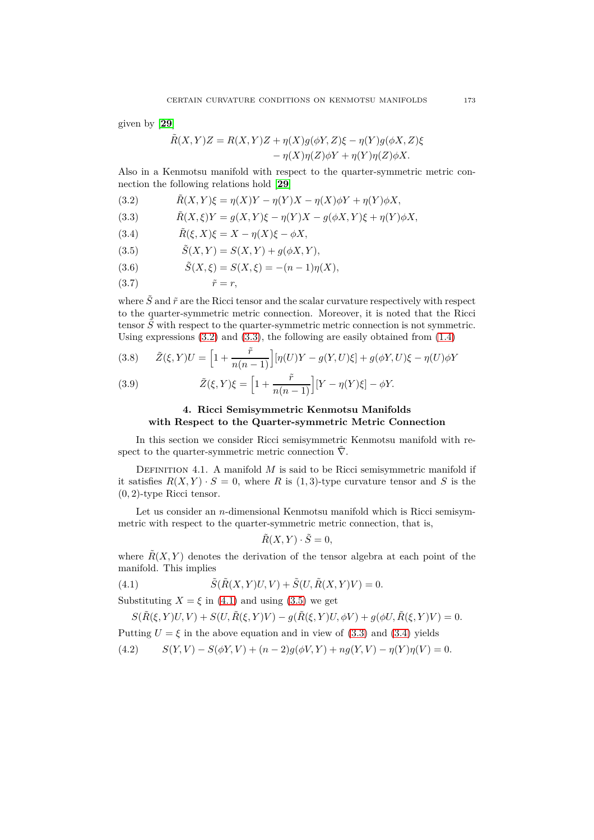given by [**[29](#page-12-15)**]

$$
\tilde{R}(X,Y)Z = R(X,Y)Z + \eta(X)g(\phi Y, Z)\xi - \eta(Y)g(\phi X, Z)\xi
$$

$$
-\eta(X)\eta(Z)\phi Y + \eta(Y)\eta(Z)\phi X.
$$

Also in a Kenmotsu manifold with respect to the quarter-symmetric metric connection the following relations hold [**[29](#page-12-15)**]

<span id="page-4-1"></span>(3.2) 
$$
\tilde{R}(X,Y)\xi = \eta(X)Y - \eta(Y)X - \eta(X)\phi Y + \eta(Y)\phi X,
$$

<span id="page-4-2"></span>(3.3) 
$$
\tilde{R}(X,\xi)Y = g(X,Y)\xi - \eta(Y)X - g(\phi X,Y)\xi + \eta(Y)\phi X,
$$

<span id="page-4-5"></span>(3.4) 
$$
\tilde{R}(\xi, X)\xi = X - \eta(X)\xi - \phi X,
$$

<span id="page-4-4"></span>(3.5) 
$$
\tilde{S}(X,Y) = S(X,Y) + g(\phi X, Y),
$$

<span id="page-4-7"></span>(3.6) 
$$
\tilde{S}(X,\xi) = S(X,\xi) = -(n-1)\eta(X),
$$

<span id="page-4-8"></span>(3.7)  $\tilde{r} = r$ ,

where  $\tilde{S}$  and  $\tilde{r}$  are the Ricci tensor and the scalar curvature respectively with respect to the quarter-symmetric metric connection. Moreover, it is noted that the Ricci tensor  $\tilde{S}$  with respect to the quarter-symmetric metric connection is not symmetric. Using expressions  $(3.2)$  and  $(3.3)$ , the following are easily obtained from  $(1.4)$ 

<span id="page-4-9"></span>(3.8) 
$$
\tilde{Z}(\xi, Y)U = \left[1 + \frac{\tilde{r}}{n(n-1)}\right] [\eta(U)Y - g(Y,U)\xi] + g(\phi Y, U)\xi - \eta(U)\phi Y
$$

<span id="page-4-10"></span><span id="page-4-0"></span>(3.9) 
$$
\tilde{Z}(\xi, Y)\xi = \left[1 + \frac{\tilde{r}}{n(n-1)}\right][Y - \eta(Y)\xi] - \phi Y.
$$

## **4. Ricci Semisymmetric Kenmotsu Manifolds with Respect to the Quarter-symmetric Metric Connection**

In this section we consider Ricci semisymmetric Kenmotsu manifold with respect to the quarter-symmetric metric connection  $\tilde{\nabla}$ .

DEFINITION 4.1. A manifold  $M$  is said to be Ricci semisymmetric manifold if it satisfies  $R(X, Y) \cdot S = 0$ , where R is (1,3)-type curvature tensor and S is the (0*,* 2)-type Ricci tensor.

Let us consider an *n*-dimensional Kenmotsu manifold which is Ricci semisymmetric with respect to the quarter-symmetric metric connection, that is,

<span id="page-4-3"></span>
$$
\tilde{R}(X,Y)\cdot\tilde{S}=0,
$$

where  $\tilde{R}(X, Y)$  denotes the derivation of the tensor algebra at each point of the manifold. This implies

(4.1) 
$$
\tilde{S}(\tilde{R}(X,Y)U,V) + \tilde{S}(U,\tilde{R}(X,Y)V) = 0.
$$

Substituting  $X = \xi$  in [\(4.1\)](#page-4-3) and using [\(3.5\)](#page-4-4) we get

$$
S(\tilde{R}(\xi, Y)U, V) + S(U, \tilde{R}(\xi, Y)V) - g(\tilde{R}(\xi, Y)U, \phi V) + g(\phi U, \tilde{R}(\xi, Y)V) = 0.
$$

Putting  $U = \xi$  in the above equation and in view of [\(3.3\)](#page-4-2) and [\(3.4\)](#page-4-5) yields

<span id="page-4-6"></span>(4.2) 
$$
S(Y, V) - S(\phi Y, V) + (n-2)g(\phi V, Y) + ng(Y, V) - \eta(Y)\eta(V) = 0.
$$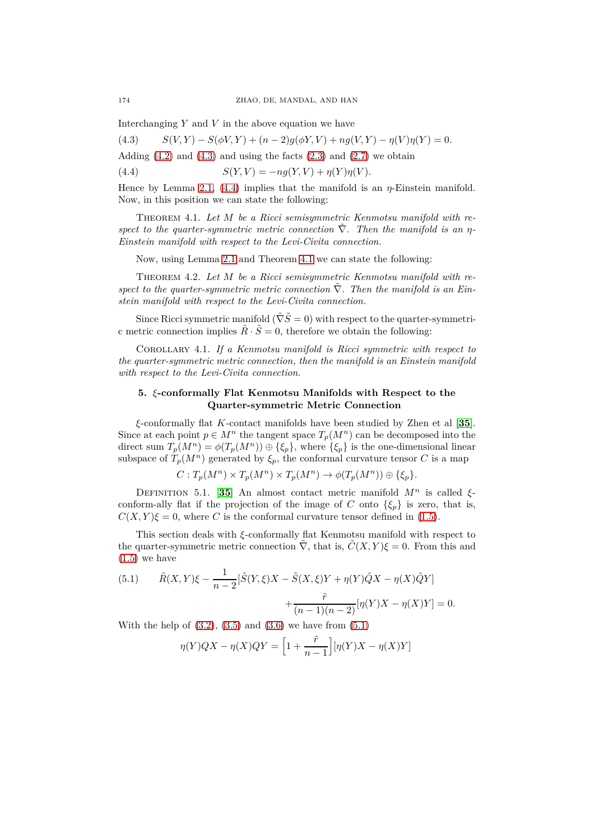Interchanging *Y* and *V* in the above equation we have

<span id="page-5-1"></span>(4.3)  $S(V, Y) - S(\phi V, Y) + (n-2)g(\phi Y, V) + ng(V, Y) - \eta(V)\eta(Y) = 0.$ Adding  $(4.2)$  and  $(4.3)$  and using the facts  $(2.3)$  and  $(2.7)$  we obtain

<span id="page-5-2"></span>(4.4)  $S(Y, V) = -nq(Y, V) + \eta(Y)\eta(V).$ 

Hence by Lemma [2.1,](#page-3-4) [\(4.4\)](#page-5-2) implies that the manifold is an *η*-Einstein manifold. Now, in this position we can state the following:

<span id="page-5-3"></span>Theorem 4.1. *Let M be a Ricci semisymmetric Kenmotsu manifold with respect to the quarter-symmetric metric connection*  $\tilde{\nabla}$ *. Then the manifold is an η*-*Einstein manifold with respect to the Levi-Civita connection.*

Now, using Lemma [2.1](#page-3-4) and Theorem [4.1](#page-5-3) we can state the following:

<span id="page-5-5"></span>Theorem 4.2. *Let M be a Ricci semisymmetric Kenmotsu manifold with re*spect to the quarter-symmetric metric connection  $\tilde{\nabla}$ . Then the manifold is an Ein*stein manifold with respect to the Levi-Civita connection.*

Since Ricci symmetric manifold  $(\tilde{\nabla} \tilde{S} = 0)$  with respect to the quarter-symmetric metric connection implies  $\tilde{R} \cdot \tilde{S} = 0$ , therefore we obtain the following:

Corollary 4.1. *If a Kenmotsu manifold is Ricci symmetric with respect to the quarter-symmetric metric connection, then the manifold is an Einstein manifold with respect to the Levi-Civita connection.*

## <span id="page-5-0"></span>**5.** *ξ***-conformally Flat Kenmotsu Manifolds with Respect to the Quarter-symmetric Metric Connection**

*ξ*-conformally flat *K*-contact manifolds have been studied by Zhen et al [**[35](#page-12-18)**]. Since at each point  $p \in M^n$  the tangent space  $T_p(M^n)$  can be decomposed into the direct sum  $T_p(M^n) = \phi(T_p(M^n)) \oplus {\xi_p}$ , where  ${\xi_p}$  is the one-dimensional linear subspace of  $T_p(M^n)$  generated by  $\xi_p$ , the conformal curvature tensor *C* is a map

$$
C: T_p(M^n) \times T_p(M^n) \times T_p(M^n) \to \phi(T_p(M^n)) \oplus \{\xi_p\}.
$$

DEFINITION 5.1. [[35](#page-12-18)] An almost contact metric manifold  $M^n$  is called  $\xi$ conform-ally flat if the projection of the image of *C* onto  $\{\xi_p\}$  is zero, that is,  $C(X, Y)\xi = 0$ , where *C* is the conformal curvature tensor defined in [\(1.5\)](#page-1-1).

This section deals with *ξ*-conformally flat Kenmotsu manifold with respect to the quarter-symmetric metric connection  $\nabla$ , that is,  $C(X, Y)\xi = 0$ . From this and  $(1.5)$  we have

<span id="page-5-4"></span>(5.1) 
$$
\tilde{R}(X,Y)\xi - \frac{1}{n-2}[\tilde{S}(Y,\xi)X - \tilde{S}(X,\xi)Y + \eta(Y)\tilde{Q}X - \eta(X)\tilde{Q}Y] + \frac{\tilde{r}}{(n-1)(n-2)}[\eta(Y)X - \eta(X)Y] = 0.
$$

With the help of  $(3.2)$ ,  $(3.5)$  and  $(3.6)$  we have from  $(5.1)$ 

$$
\eta(Y)QX - \eta(X)QY = \left[1 + \frac{\tilde{r}}{n-1}\right] [\eta(Y)X - \eta(X)Y]
$$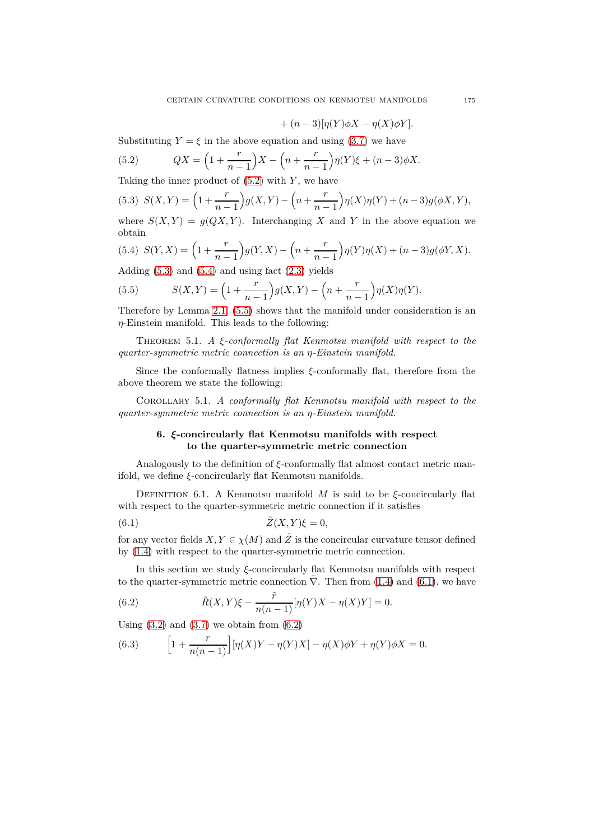$$
+ (n-3)[\eta(Y)\phi X - \eta(X)\phi Y].
$$

Substituting  $Y = \xi$  in the above equation and using [\(3.7\)](#page-4-8) we have

<span id="page-6-1"></span>(5.2) 
$$
QX = \left(1 + \frac{r}{n-1}\right)X - \left(n + \frac{r}{n-1}\right)\eta(Y)\xi + (n-3)\phi X.
$$

Taking the inner product of [\(5.2\)](#page-6-1) with *Y* , we have

<span id="page-6-2"></span>(5.3) 
$$
S(X,Y) = \left(1 + \frac{r}{n-1}\right)g(X,Y) - \left(n + \frac{r}{n-1}\right)\eta(X)\eta(Y) + (n-3)g(\phi X, Y),
$$

where  $S(X, Y) = g(QX, Y)$ . Interchanging X and Y in the above equation we obtain

<span id="page-6-3"></span>(5.4) 
$$
S(Y, X) = \left(1 + \frac{r}{n-1}\right)g(Y, X) - \left(n + \frac{r}{n-1}\right)\eta(Y)\eta(X) + (n-3)g(\phi Y, X).
$$

Adding  $(5.3)$  and  $(5.4)$  and using fact  $(2.3)$  yields

<span id="page-6-4"></span>(5.5) 
$$
S(X,Y) = \left(1 + \frac{r}{n-1}\right)g(X,Y) - \left(n + \frac{r}{n-1}\right)\eta(X)\eta(Y).
$$

Therefore by Lemma [2.1,](#page-3-4) [\(5.5\)](#page-6-4) shows that the manifold under consideration is an *η*-Einstein manifold. This leads to the following:

Theorem 5.1. *A ξ-conformally flat Kenmotsu manifold with respect to the quarter-symmetric metric connection is an η-Einstein manifold.*

Since the conformally flatness implies *ξ*-conformally flat, therefore from the above theorem we state the following:

<span id="page-6-0"></span>Corollary 5.1. *A conformally flat Kenmotsu manifold with respect to the quarter-symmetric metric connection is an η-Einstein manifold.*

## <span id="page-6-5"></span>**6.** *ξ***-concircularly flat Kenmotsu manifolds with respect to the quarter-symmetric metric connection**

Analogously to the definition of *ξ*-conformally flat almost contact metric manifold, we define *ξ*-concircularly flat Kenmotsu manifolds.

Definition 6.1. A Kenmotsu manifold *M* is said to be *ξ*-concircularly flat with respect to the quarter-symmetric metric connection if it satisfies

(6.1) 
$$
\tilde{Z}(X,Y)\xi = 0,
$$

for any vector fields  $X, Y \in \chi(M)$  and  $\tilde{Z}$  is the concircular curvature tensor defined by [\(1.4\)](#page-1-0) with respect to the quarter-symmetric metric connection.

In this section we study *ξ*-concircularly flat Kenmotsu manifolds with respect to the quarter-symmetric metric connection  $\overline{\nabla}$ . Then from [\(1.4\)](#page-1-0) and [\(6.1\)](#page-6-5), we have

<span id="page-6-6"></span>(6.2) 
$$
\tilde{R}(X,Y)\xi - \frac{\tilde{r}}{n(n-1)}[\eta(Y)X - \eta(X)Y] = 0.
$$

Using  $(3.2)$  and  $(3.7)$  we obtain from  $(6.2)$ 

<span id="page-6-7"></span>(6.3) 
$$
\[1 + \frac{r}{n(n-1)}\big] [\eta(X)Y - \eta(Y)X] - \eta(X)\phi Y + \eta(Y)\phi X = 0.
$$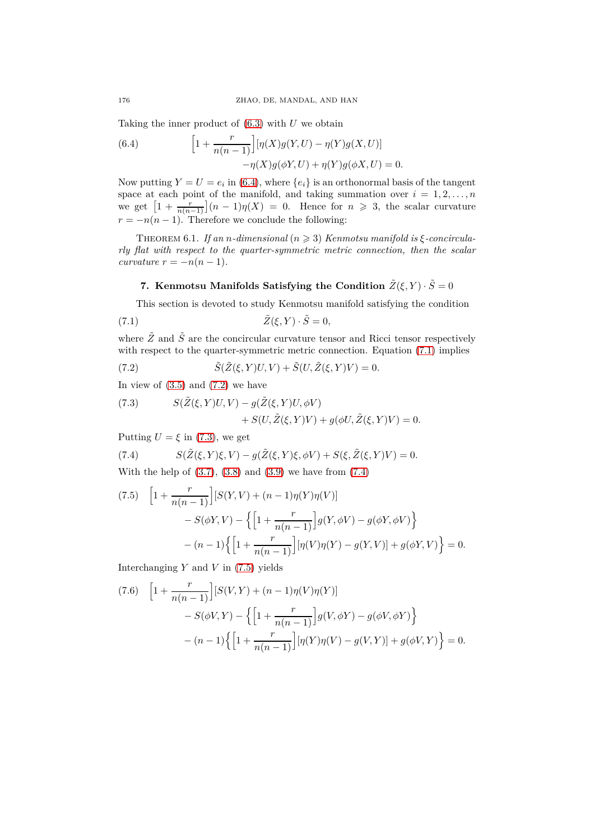Taking the inner product of [\(6.3\)](#page-6-7) with *U* we obtain

<span id="page-7-0"></span>(6.4) 
$$
\left[1 + \frac{r}{n(n-1)}\right] [\eta(X)g(Y, U) - \eta(Y)g(X, U)] - \eta(X)g(\phi Y, U) + \eta(Y)g(\phi X, U) = 0.
$$

Now putting  $Y = U = e_i$  in [\(6.4\)](#page-7-0), where  $\{e_i\}$  is an orthonormal basis of the tangent space at each point of the manifold, and taking summation over  $i = 1, 2, \ldots, n$ we get  $\left[1 + \frac{r}{n(n-1)}\right](n-1)\eta(X) = 0$ . Hence for  $n \geq 3$ , the scalar curvature  $r = -n(n-1)$ . Therefore we conclude the following:

<span id="page-7-7"></span>THEOREM 6.1. *If an n-dimensional*  $(n \geq 3)$  *Kenmotsu manifold is*  $\xi$ -concircula*rly flat with respect to the quarter-symmetric metric connection, then the scalar curvature*  $r = -n(n-1)$ *.* 

# <span id="page-7-1"></span>**7.** Kenmotsu Manifolds Satisfying the Condition  $\tilde{Z}(\xi, Y) \cdot \tilde{S} = 0$

This section is devoted to study Kenmotsu manifold satisfying the condition

(7.1) 
$$
\tilde{Z}(\xi, Y) \cdot \tilde{S} = 0,
$$

where  $\tilde{Z}$  and  $\tilde{S}$  are the concircular curvature tensor and Ricci tensor respectively with respect to the quarter-symmetric metric connection. Equation  $(7.1)$  implies

<span id="page-7-2"></span>(7.2) 
$$
\tilde{S}(\tilde{Z}(\xi, Y)U, V) + \tilde{S}(U, \tilde{Z}(\xi, Y)V) = 0.
$$

In view of  $(3.5)$  and  $(7.2)$  we have

<span id="page-7-3"></span>(7.3) 
$$
S(\tilde{Z}(\xi, Y)U, V) - g(\tilde{Z}(\xi, Y)U, \phi V) + S(U, \tilde{Z}(\xi, Y)V) + g(\phi U, \tilde{Z}(\xi, Y)V) = 0.
$$

Putting  $U = \xi$  in [\(7.3\)](#page-7-3), we get

<span id="page-7-4"></span>(7.4) 
$$
S(\tilde{Z}(\xi,Y)\xi,V) - g(\tilde{Z}(\xi,Y)\xi,\phi V) + S(\xi,\tilde{Z}(\xi,Y)V) = 0.
$$

With the help of  $(3.7), (3.8)$  $(3.7), (3.8)$  $(3.7), (3.8)$  and  $(3.9)$  we have from  $(7.4)$ 

<span id="page-7-5"></span>(7.5) 
$$
\left[1 + \frac{r}{n(n-1)}\right][S(Y, V) + (n-1)\eta(Y)\eta(V)] - S(\phi Y, V) - \left\{\left[1 + \frac{r}{n(n-1)}\right]g(Y, \phi V) - g(\phi Y, \phi V)\right\} - (n-1)\left\{\left[1 + \frac{r}{n(n-1)}\right][\eta(V)\eta(Y) - g(Y, V)] + g(\phi Y, V)\right\} = 0.
$$

Interchanging *Y* and *V* in [\(7.5\)](#page-7-5) yields

<span id="page-7-6"></span>(7.6) 
$$
\left[1 + \frac{r}{n(n-1)}\right] [S(V, Y) + (n-1)\eta(V)\eta(Y)] - S(\phi V, Y) - \left\{\left[1 + \frac{r}{n(n-1)}\right]g(V, \phi Y) - g(\phi V, \phi Y)\right\} - (n-1)\left\{\left[1 + \frac{r}{n(n-1)}\right] [\eta(Y)\eta(V) - g(V, Y)] + g(\phi V, Y)\right\} = 0.
$$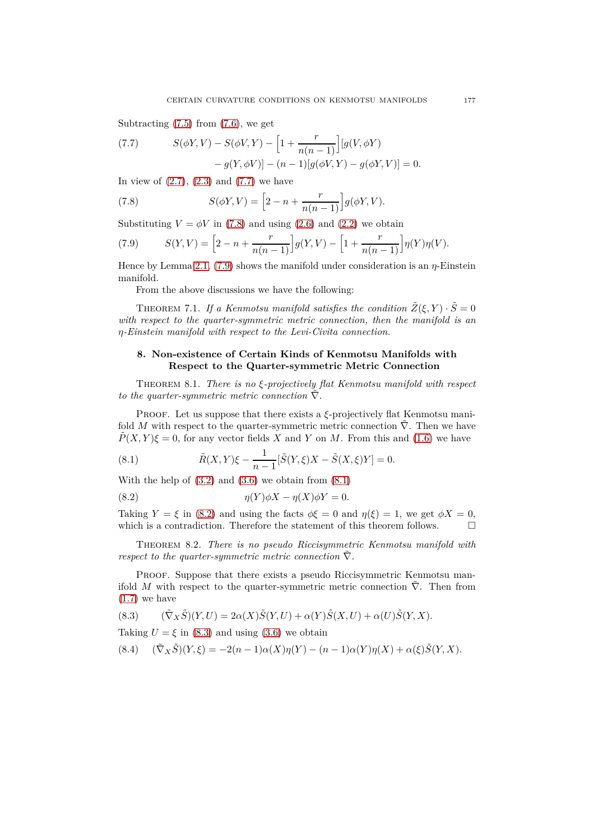Subtracting  $(7.5)$  from  $(7.6)$ , we get

<span id="page-8-1"></span>(7.7) 
$$
S(\phi Y, V) - S(\phi V, Y) - \left[1 + \frac{r}{n(n-1)}\right] [g(V, \phi Y) - g(Y, \phi V)] - (n-1)[g(\phi V, Y) - g(\phi Y, V)] = 0.
$$

In view of  $(2.7)$ ,  $(2.3)$  and  $(7.7)$  we have

<span id="page-8-2"></span>(7.8) 
$$
S(\phi Y, V) = \left[2 - n + \frac{r}{n(n-1)}\right]g(\phi Y, V).
$$

Substituting  $V = \phi V$  in [\(7.8\)](#page-8-2) and using [\(2.6\)](#page-3-5) and [\(2.2\)](#page-3-6) we obtain

<span id="page-8-3"></span>(7.9) 
$$
S(Y,V) = \left[2 - n + \frac{r}{n(n-1)}\right]g(Y,V) - \left[1 + \frac{r}{n(n-1)}\right]\eta(Y)\eta(V).
$$

Hence by Lemma [2.1,](#page-3-4) [\(7.9\)](#page-8-3) shows the manifold under consideration is an *η*-Einstein manifold.

From the above discussions we have the following:

THEOREM 7.1. *If a Kenmotsu manifold satisfies the condition*  $\tilde{Z}(\xi, Y) \cdot \tilde{S} = 0$ *with respect to the quarter-symmetric metric connection, then the manifold is an η-Einstein manifold with respect to the Levi-Civita connection.*

## <span id="page-8-0"></span>**8. Non-existence of Certain Kinds of Kenmotsu Manifolds with Respect to the Quarter-symmetric Metric Connection**

Theorem 8.1. *There is no ξ-projectively flat Kenmotsu manifold with respect to the quarter-symmetric metric connection*  $\tilde{\nabla}$ *.* 

Proof. Let us suppose that there exists a *ξ*-projectively flat Kenmotsu manifold *M* with respect to the quarter-symmetric metric connection  $\overline{V}$ . Then we have  $\tilde{P}(X, Y)\xi = 0$ , for any vector fields *X* and *Y* on *M*. From this and [\(1.6\)](#page-1-2) we have

<span id="page-8-4"></span>(8.1) 
$$
\tilde{R}(X,Y)\xi - \frac{1}{n-1}[\tilde{S}(Y,\xi)X - \tilde{S}(X,\xi)Y] = 0.
$$

With the help of  $(3.2)$  and  $(3.6)$  we obtain from  $(8.1)$ 

<span id="page-8-5"></span>(8.2) 
$$
\eta(Y)\phi X - \eta(X)\phi Y = 0.
$$

Taking  $Y = \xi$  in [\(8.2\)](#page-8-5) and using the facts  $\phi \xi = 0$  and  $\eta(\xi) = 1$ , we get  $\phi X = 0$ , which is a contradiction. Therefore the statement of this theorem follows.  $\Box$ 

Theorem 8.2. *There is no pseudo Riccisymmetric Kenmotsu manifold with respect to the quarter-symmetric metric connection*  $\nabla$ *.* 

PROOF. Suppose that there exists a pseudo Riccisymmetric Kenmotsu manifold *M* with respect to the quarter-symmetric metric connection  $\overline{V}$ . Then from  $(1.7)$  we have

<span id="page-8-6"></span>(8.3) 
$$
(\tilde{\nabla}_X \tilde{S})(Y, U) = 2\alpha(X)\tilde{S}(Y, U) + \alpha(Y)\tilde{S}(X, U) + \alpha(U)\tilde{S}(Y, X).
$$

Taking  $U = \xi$  in [\(8.3\)](#page-8-6) and using [\(3.6\)](#page-4-7) we obtain

<span id="page-8-7"></span>
$$
(8.4) \qquad (\tilde{\nabla}_X \tilde{S})(Y,\xi) = -2(n-1)\alpha(X)\eta(Y) - (n-1)\alpha(Y)\eta(X) + \alpha(\xi)\tilde{S}(Y,X).
$$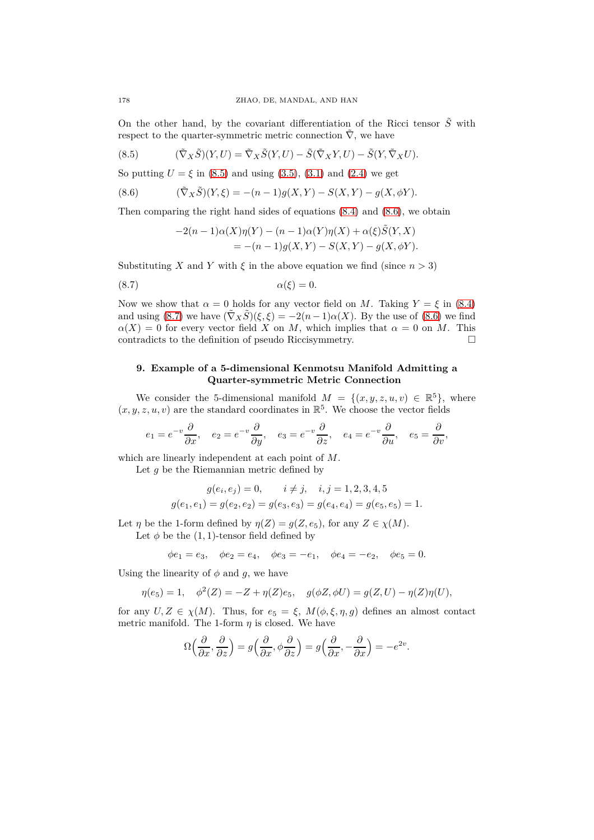On the other hand, by the covariant differentiation of the Ricci tensor  $\tilde{S}$  with respect to the quarter-symmetric metric connection  $\overline{\nabla}$ , we have

<span id="page-9-0"></span>(8.5) 
$$
(\tilde{\nabla}_X \tilde{S})(Y, U) = \tilde{\nabla}_X \tilde{S}(Y, U) - \tilde{S}(\tilde{\nabla}_X Y, U) - \tilde{S}(Y, \tilde{\nabla}_X U).
$$

So putting  $U = \xi$  in [\(8.5\)](#page-9-0) and using [\(3.5\)](#page-4-4), [\(3.1\)](#page-3-7) and [\(2.4\)](#page-3-1) we get

(8.6) 
$$
(\tilde{\nabla}_X \tilde{S})(Y,\xi) = -(n-1)g(X,Y) - S(X,Y) - g(X,\phi Y).
$$

Then comparing the right hand sides of equations [\(8.4\)](#page-8-7) and [\(8.6\)](#page-9-1), we obtain

<span id="page-9-2"></span><span id="page-9-1"></span>
$$
-2(n-1)\alpha(X)\eta(Y) - (n-1)\alpha(Y)\eta(X) + \alpha(\xi)\tilde{S}(Y,X) = -(n-1)g(X,Y) - S(X,Y) - g(X,\phi Y).
$$

Substituting *X* and *Y* with  $\xi$  in the above equation we find (since  $n > 3$ )

$$
\alpha(\xi) = 0.
$$

Now we show that  $\alpha = 0$  holds for any vector field on *M*. Taking  $Y = \xi$  in [\(8.4\)](#page-8-7) and using [\(8.7\)](#page-9-2) we have  $(\tilde{\nabla}_X \tilde{S})(\xi, \xi) = -2(n-1)\alpha(X)$ . By the use of [\(8.6\)](#page-9-1) we find  $\alpha(X) = 0$  for every vector field *X* on *M*, which implies that  $\alpha = 0$  on *M*. This contradicts to the definition of pseudo Ricci<br>symmetry.  $\hfill \square$ 

### **9. Example of a 5-dimensional Kenmotsu Manifold Admitting a Quarter-symmetric Metric Connection**

We consider the 5-dimensional manifold  $M = \{(x, y, z, u, v) \in \mathbb{R}^5\}$ , where  $(x, y, z, u, v)$  are the standard coordinates in  $\mathbb{R}^5$ . We choose the vector fields

$$
e_1 = e^{-v} \frac{\partial}{\partial x}, \quad e_2 = e^{-v} \frac{\partial}{\partial y}, \quad e_3 = e^{-v} \frac{\partial}{\partial z}, \quad e_4 = e^{-v} \frac{\partial}{\partial u}, \quad e_5 = \frac{\partial}{\partial v},
$$

which are linearly independent at each point of *M*.

Let *g* be the Riemannian metric defined by

$$
g(e_i, e_j) = 0, \qquad i \neq j, \quad i, j = 1, 2, 3, 4, 5
$$

$$
g(e_1, e_1) = g(e_2, e_2) = g(e_3, e_3) = g(e_4, e_4) = g(e_5, e_5) = 1.
$$

Let *η* be the 1-form defined by  $\eta(Z) = q(Z, e_5)$ , for any  $Z \in \chi(M)$ . Let  $\phi$  be the (1, 1)-tensor field defined by

$$
\phi e_1 = e_3
$$
,  $\phi e_2 = e_4$ ,  $\phi e_3 = -e_1$ ,  $\phi e_4 = -e_2$ ,  $\phi e_5 = 0$ .

Using the linearity of  $\phi$  and  $q$ , we have

$$
\eta(e_5) = 1, \quad \phi^2(Z) = -Z + \eta(Z)e_5, \quad g(\phi Z, \phi U) = g(Z, U) - \eta(Z)\eta(U),
$$

for any  $U, Z \in \chi(M)$ . Thus, for  $e_5 = \xi, M(\phi, \xi, \eta, g)$  defines an almost contact metric manifold. The 1-form  $\eta$  is closed. We have

$$
\Omega\Big(\frac{\partial}{\partial x},\frac{\partial}{\partial z}\Big)=g\Big(\frac{\partial}{\partial x},\phi\frac{\partial}{\partial z}\Big)=g\Big(\frac{\partial}{\partial x},-\frac{\partial}{\partial x}\Big)=-e^{2v}.
$$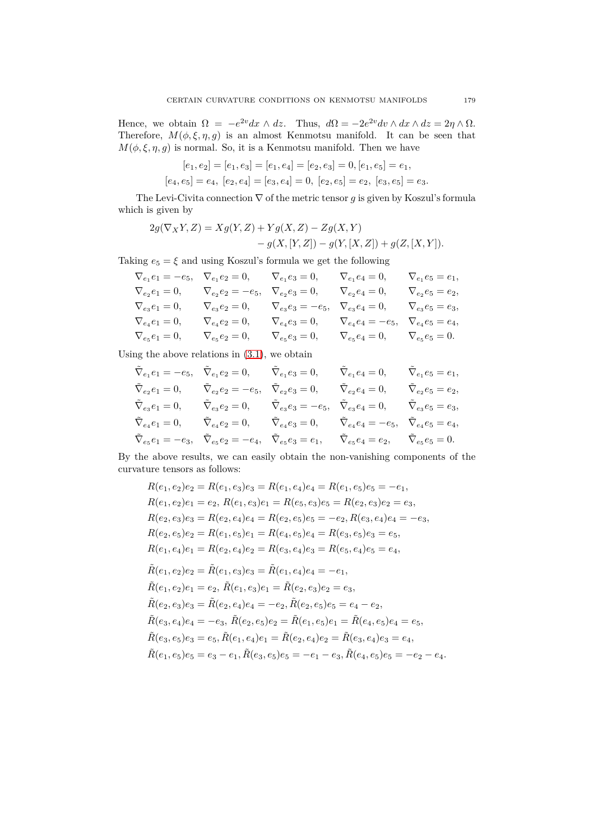Hence, we obtain  $\Omega = -e^{2v} dx \wedge dz$ . Thus,  $d\Omega = -2e^{2v} dv \wedge dx \wedge dz = 2\eta \wedge \Omega$ . Therefore,  $M(\phi, \xi, \eta, g)$  is an almost Kenmotsu manifold. It can be seen that  $M(\phi,\xi,\eta,g)$  is normal. So, it is a Kenmotsu manifold. Then we have

$$
[e_1, e_2] = [e_1, e_3] = [e_1, e_4] = [e_2, e_3] = 0, [e_1, e_5] = e_1,
$$
  

$$
[e_4, e_5] = e_4, [e_2, e_4] = [e_3, e_4] = 0, [e_2, e_5] = e_2, [e_3, e_5] = e_3.
$$

The Levi-Civita connection ∇ of the metric tensor *g* is given by Koszul's formula which is given by

$$
2g(\nabla_X Y, Z) = Xg(Y, Z) + Yg(X, Z) - Zg(X, Y) - g(X, [Y, Z]) - g(Y, [X, Z]) + g(Z, [X, Y]).
$$

Taking  $e_5 = \xi$  and using Koszul's formula we get the following

|                      |                         | $V_{e_1}e_4=0,$                                                                                                                         | $\nabla_{e_1}e_5=e_1,$                           |
|----------------------|-------------------------|-----------------------------------------------------------------------------------------------------------------------------------------|--------------------------------------------------|
|                      |                         | $\nabla_{e_2}e_4=0,$                                                                                                                    | $\nabla_{e_2}e_5=e_2,$                           |
| $\nabla_{e_3}e_2=0,$ |                         |                                                                                                                                         | $\nabla_{e_3}e_5=e_3,$                           |
| $\nabla_{e_4}e_2=0,$ | $\nabla_{e_4} e_3 = 0,$ | $\nabla_{e_4}e_4 = -e_5, \quad \nabla_{e_4}e_5 = e_4,$                                                                                  |                                                  |
| $\nabla_{e_5}e_2=0,$ | $\nabla_{e_5}e_3=0,$    | $\nabla_{e_5} e_4 = 0, \qquad \nabla_{e_5} e_5 = 0.$                                                                                    |                                                  |
|                      |                         | $\nabla_{e_1} e_1 = -e_5, \quad \nabla_{e_1} e_2 = 0, \qquad \nabla_{e_1} e_3 = 0,$<br>$\nabla_{e_2}e_2=-e_5, \quad \nabla_{e_2}e_3=0,$ | $\nabla_{e_3}e_3=-e_5, \quad \nabla_{e_3}e_4=0,$ |

Using the above relations in  $(3.1)$ , we obtain

$$
\begin{aligned} &\tilde{\nabla}_{e_1} e_1 = -e_5, \quad \tilde{\nabla}_{e_1} e_2 = 0, \qquad \tilde{\nabla}_{e_1} e_3 = 0, \qquad \tilde{\nabla}_{e_1} e_4 = 0, \qquad \tilde{\nabla}_{e_1} e_5 = e_1, \\ &\tilde{\nabla}_{e_2} e_1 = 0, \qquad \tilde{\nabla}_{e_2} e_2 = -e_5, \quad \tilde{\nabla}_{e_2} e_3 = 0, \qquad \tilde{\nabla}_{e_2} e_4 = 0, \qquad \tilde{\nabla}_{e_2} e_5 = e_2, \\ &\tilde{\nabla}_{e_3} e_1 = 0, \qquad \tilde{\nabla}_{e_3} e_2 = 0, \qquad \tilde{\nabla}_{e_3} e_3 = -e_5, \quad \tilde{\nabla}_{e_3} e_4 = 0, \qquad \tilde{\nabla}_{e_3} e_5 = e_3, \\ &\tilde{\nabla}_{e_4} e_1 = 0, \qquad \tilde{\nabla}_{e_4} e_2 = 0, \qquad \tilde{\nabla}_{e_4} e_3 = 0, \qquad \tilde{\nabla}_{e_4} e_4 = -e_5, \quad \tilde{\nabla}_{e_4} e_5 = e_4, \\ &\tilde{\nabla}_{e_5} e_1 = -e_3, \quad \tilde{\nabla}_{e_5} e_2 = -e_4, \quad \tilde{\nabla}_{e_5} e_3 = e_1, \qquad \tilde{\nabla}_{e_5} e_4 = e_2, \qquad \tilde{\nabla}_{e_5} e_5 = 0. \end{aligned}
$$

By the above results, we can easily obtain the non-vanishing components of the curvature tensors as follows:

$$
R(e_1, e_2)e_2 = R(e_1, e_3)e_3 = R(e_1, e_4)e_4 = R(e_1, e_5)e_5 = -e_1,
$$
  
\n
$$
R(e_1, e_2)e_1 = e_2, R(e_1, e_3)e_1 = R(e_5, e_3)e_5 = R(e_2, e_3)e_2 = e_3,
$$
  
\n
$$
R(e_2, e_3)e_3 = R(e_2, e_4)e_4 = R(e_2, e_5)e_5 = -e_2, R(e_3, e_4)e_4 = -e_3,
$$
  
\n
$$
R(e_2, e_5)e_2 = R(e_1, e_5)e_1 = R(e_4, e_5)e_4 = R(e_3, e_5)e_3 = e_5,
$$
  
\n
$$
R(e_1, e_4)e_1 = R(e_2, e_4)e_2 = R(e_3, e_4)e_3 = R(e_5, e_4)e_5 = e_4,
$$
  
\n
$$
\tilde{R}(e_1, e_2)e_2 = \tilde{R}(e_1, e_3)e_3 = \tilde{R}(e_1, e_4)e_4 = -e_1,
$$
  
\n
$$
\tilde{R}(e_1, e_2)e_1 = e_2, \tilde{R}(e_1, e_3)e_1 = \tilde{R}(e_2, e_3)e_2 = e_3,
$$
  
\n
$$
\tilde{R}(e_2, e_3)e_3 = \tilde{R}(e_2, e_4)e_4 = -e_2, \tilde{R}(e_2, e_5)e_5 = e_4 - e_2,
$$
  
\n
$$
\tilde{R}(e_3, e_4)e_4 = -e_3, \tilde{R}(e_2, e_5)e_2 = \tilde{R}(e_1, e_5)e_1 = \tilde{R}(e_4, e_5)e_4 = e_5,
$$
  
\n
$$
\tilde{R}(e_3, e_5)e_3 = e_5, \tilde{R}(e_1, e_4)e_1 = \tilde{R}(e_2, e_4)e_2 = \tilde{R}(e_3, e_4)e_3 = e_4,
$$
  
\n
$$
\tilde{R}(e_1, e_5)e_5 = e_3 - e_1, \tilde{R}(e_3, e_5)e_5 = -e_1 - e_3, \
$$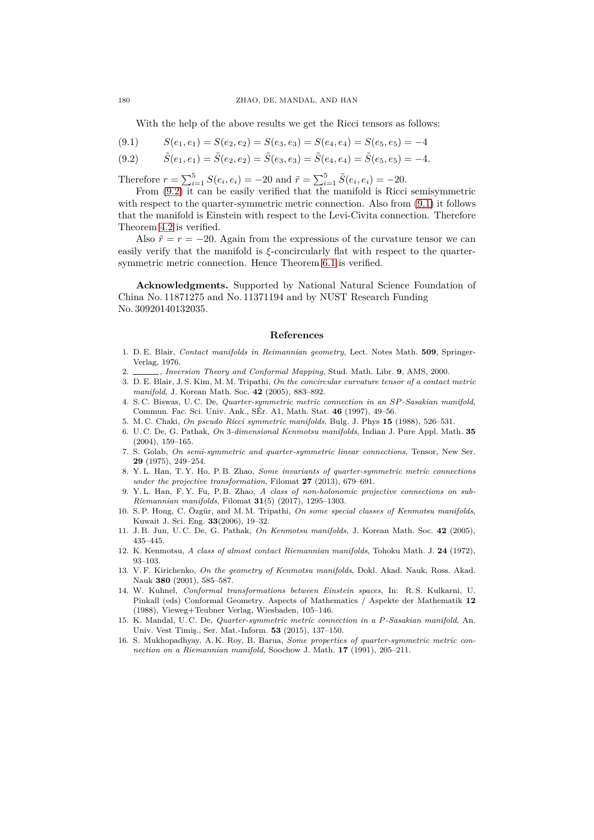With the help of the above results we get the Ricci tensors as follows:

<span id="page-11-17"></span>
$$
(9.1) \qquad S(e_1, e_1) = S(e_2, e_2) = S(e_3, e_3) = S(e_4, e_4) = S(e_5, e_5) = -4
$$

<span id="page-11-16"></span>
$$
(9.2) \qquad \tilde{S}(e_1, e_1) = \tilde{S}(e_2, e_2) = \tilde{S}(e_3, e_3) = \tilde{S}(e_4, e_4) = \tilde{S}(e_5, e_5) = -4.
$$

Therefore  $r = \sum_{i=1}^{5} S(e_i, e_i) = -20$  and  $\tilde{r} = \sum_{i=1}^{5} \tilde{S}(e_i, e_i) = -20$ .

From  $(9.2)$  it can be easily verified that the manifold is Ricci semisymmetric with respect to the quarter-symmetric metric connection. Also from  $(9.1)$  it follows that the manifold is Einstein with respect to the Levi-Civita connection. Therefore Theorem [4.2](#page-5-5) is verified.

Also  $\tilde{r} = r = -20$ . Again from the expressions of the curvature tensor we can easily verify that the manifold is *ξ*-concircularly flat with respect to the quartersymmetric metric connection. Hence Theorem [6.1](#page-7-7) is verified.

**Acknowledgments.** Supported by National Natural Science Foundation of China No. 11871275 and No. 11371194 and by NUST Research Funding No. 30920140132035.

#### **References**

- <span id="page-11-10"></span>1. D. E. Blair, *Contact manifolds in Reimannian geometry*, Lect. Notes Math. **509**, Springer-Verlag, 1976.
- <span id="page-11-3"></span><span id="page-11-2"></span>2. , *Inversion Theory and Conformal Mapping*, Stud. Math. Libr. **9**, AMS, 2000.
- 3. D. E. Blair, J. S. Kim, M. M. Tripathi, *On the concircular curvature tensor of a contact metric manifold*, J. Korean Math. Soc. **42** (2005), 883–892.
- <span id="page-11-9"></span>4. S. C. Biswas, U. C. De, *Quarter-symmetric metric connection in an SP-Sasakian manifold*, Commun. Fac. Sci. Univ. Ank., SÉr. A1, Math. Stat. **46** (1997), 49–56.
- <span id="page-11-13"></span><span id="page-11-4"></span>5. M. C. Chaki, *On pseudo Ricci symmetric manifolds*, Bulg. J. Phys **15** (1988), 526–531.
- 6. U. C. De, G. Pathak, *On* 3*-dimensional Kenmotsu manifolds*, Indian J. Pure Appl. Math. **35** (2004), 159–165.
- <span id="page-11-0"></span>7. S. Golab, *On semi-symmetric and quarter-symmetric linear connections*, Tensor, New Ser. **29** (1975), 249–254.
- <span id="page-11-7"></span>8. Y. L. Han, T. Y. Ho, P. B. Zhao, *Some invariants of quarter-symmetric metric connections under the projective transformation*, Filomat **27** (2013), 679–691.
- <span id="page-11-8"></span>9. Y. L. Han, F. Y. Fu, P. B. Zhao, *A class of non-holonomic projective connections on sub-Riemannian manifolds*, Filomat **31**(5) (2017), 1295–1303.
- <span id="page-11-15"></span>10. S. P. Hong, C. Özgür, and M. M. Tripathi, *On some special classes of Kenmotsu manifolds*, Kuwait J. Sci. Eng. **33**(2006), 19–32.
- <span id="page-11-12"></span>11. J. B. Jun, U. C. De, G. Pathak, *On Kenmotsu manifolds*, J. Korean Math. Soc. **42** (2005), 435–445.
- <span id="page-11-11"></span>12. K. Kenmotsu, *A class of almost contact Riemannian manifolds*, Tohoku Math. J. **24** (1972), 93–103.
- <span id="page-11-14"></span>13. V. F. Kirichenko, *On the geometry of Kenmotsu manifolds*, Dokl. Akad. Nauk, Ross. Akad. Nauk **380** (2001), 585–587.
- <span id="page-11-1"></span>14. W. Kuhnel, *Conformal transformations between Einstein spaces*, In: R. S. Kulkarni, U. Pinkall (eds) Conformal Geometry. Aspects of Mathematics / Aspekte der Mathematik **12** (1988), Vieweg+Teubner Verlag, Wiesbaden, 105–146.
- <span id="page-11-5"></span>15. K. Mandal, U. C. De, *Quarter-symmetric metric connection in a P-Sasakian manifold*, An. Univ. Vest Timiş., Ser. Mat.-Inform. **53** (2015), 137–150.
- <span id="page-11-6"></span>16. S. Mukhopadhyay, A. K. Roy, B. Barua, *Some properties of quarter-symmetric metric connection on a Riemannian manifold,* Soochow J. Math. **17** (1991), 205–211.